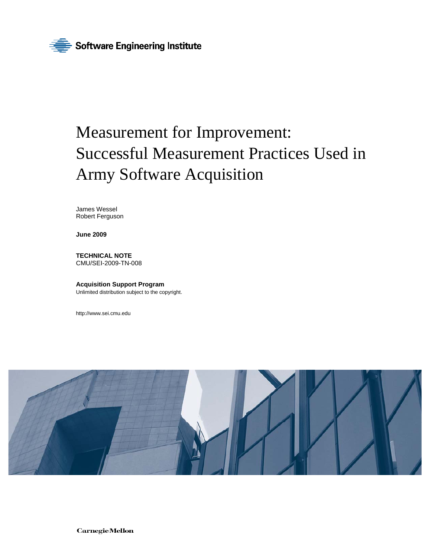

# Measurement for Improvement: Successful Measurement Practices Used in Army Software Acquisition

James Wessel Robert Ferguson

**June 2009** 

**TECHNICAL NOTE**  CMU/SEI-2009-TN-008

#### **Acquisition Support Program**

Unlimited distribution subject to the copyright.

<http://www.sei.cmu.edu>

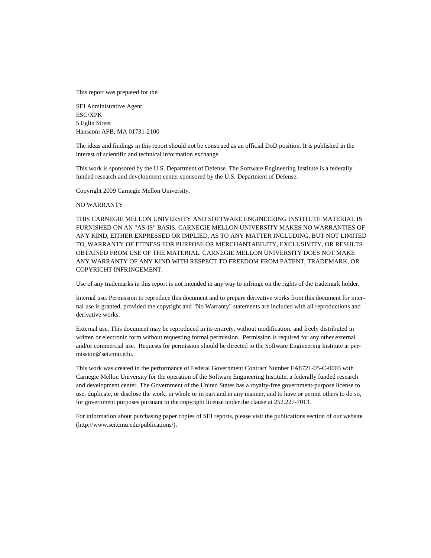This report was prepared for the

SEI Administrative Agent ESC/XPK 5 Eglin Street Hanscom AFB, MA 01731-2100

The ideas and findings in this report should not be construed as an official DoD position. It is published in the interest of scientific and technical information exchange.

This work is sponsored by the U.S. Department of Defense. The Software Engineering Institute is a federally funded research and development center sponsored by the U.S. Department of Defense.

Copyright 2009 Carnegie Mellon University.

#### NO WARRANTY

THIS CARNEGIE MELLON UNIVERSITY AND SOFTWARE ENGINEERING INSTITUTE MATERIAL IS FURNISHED ON AN "AS-IS" BASIS. CARNEGIE MELLON UNIVERSITY MAKES NO WARRANTIES OF ANY KIND, EITHER EXPRESSED OR IMPLIED, AS TO ANY MATTER INCLUDING, BUT NOT LIMITED TO, WARRANTY OF FITNESS FOR PURPOSE OR MERCHANTABILITY, EXCLUSIVITY, OR RESULTS OBTAINED FROM USE OF THE MATERIAL. CARNEGIE MELLON UNIVERSITY DOES NOT MAKE ANY WARRANTY OF ANY KIND WITH RESPECT TO FREEDOM FROM PATENT, TRADEMARK, OR COPYRIGHT INFRINGEMENT.

Use of any trademarks in this report is not intended in any way to infringe on the rights of the trademark holder.

Internal use. Permission to reproduce this document and to prepare derivative works from this document for internal use is granted, provided the copyright and "No Warranty" statements are included with all reproductions and derivative works.

External use. This document may be reproduced in its entirety, without modification, and freely distributed in written or electronic form without requesting formal permission. Permission is required for any other external [and/or commercial use. Requests for permission should be directed to the Software Engineering Institute at per](mailto:per-mission@sei.cmu.edu)mission[@sei.cmu.edu.](mailto:per-mission@sei.cmu.edu) 

This work was created in the performance of Federal Government Contract Number FA8721-05-C-0003 with Carnegie Mellon University for the operation of the Software Engineering Institute, a federally funded research and development center. The Government of the United States has a royalty-free government-purpose license to use, duplicate, or disclose the work, in whole or in part and in any manner, and to have or permit others to do so, for government purposes pursuant to the copyright license under the clause at 252.227-7013.

For information about purchasing paper copies of SEI reports, please visit the publications section of our website ([http://www.sei.cmu.edu/publications/\).](http://www.sei.cmu.edu/publications/)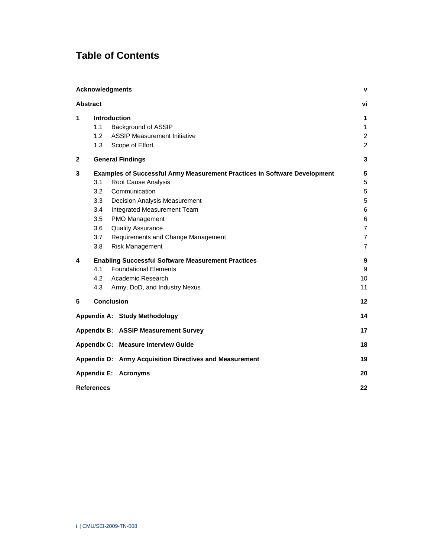# **Table of Contents**

| <b>Acknowledgments</b>        |                                                                           |                                                                                                                                                                                                                                                                                                                                                                                                                                                           | $\mathbf v$                                                                                            |
|-------------------------------|---------------------------------------------------------------------------|-----------------------------------------------------------------------------------------------------------------------------------------------------------------------------------------------------------------------------------------------------------------------------------------------------------------------------------------------------------------------------------------------------------------------------------------------------------|--------------------------------------------------------------------------------------------------------|
| <b>Abstract</b>               |                                                                           |                                                                                                                                                                                                                                                                                                                                                                                                                                                           |                                                                                                        |
| 1                             | 1.1<br>1.3                                                                | <b>Introduction</b><br>Background of ASSIP<br>1.2 ASSIP Measurement Initiative<br>Scope of Effort                                                                                                                                                                                                                                                                                                                                                         | 1<br>$\mathbf{1}$<br>$\overline{c}$<br>2                                                               |
| $\mathbf{2}$                  |                                                                           | <b>General Findings</b>                                                                                                                                                                                                                                                                                                                                                                                                                                   | 3                                                                                                      |
| 3<br>4                        | 3.1<br>3.2<br>3.3<br>3.4<br>3.5<br>3.6<br>3.7<br>3.8<br>4.1<br>4.2<br>4.3 | Examples of Successful Army Measurement Practices in Software Development<br>Root Cause Analysis<br>Communication<br><b>Decision Analysis Measurement</b><br>Integrated Measurement Team<br>PMO Management<br><b>Quality Assurance</b><br>Requirements and Change Management<br><b>Risk Management</b><br><b>Enabling Successful Software Measurement Practices</b><br><b>Foundational Elements</b><br>Academic Research<br>Army, DoD, and Industry Nexus | 5<br>5<br>5<br>5<br>6<br>6<br>$\overline{7}$<br>$\overline{7}$<br>$\overline{7}$<br>9<br>9<br>10<br>11 |
| 5                             |                                                                           | <b>Conclusion</b>                                                                                                                                                                                                                                                                                                                                                                                                                                         | 12                                                                                                     |
| Appendix A: Study Methodology |                                                                           | 14                                                                                                                                                                                                                                                                                                                                                                                                                                                        |                                                                                                        |
|                               |                                                                           | Appendix B: ASSIP Measurement Survey                                                                                                                                                                                                                                                                                                                                                                                                                      | 17                                                                                                     |
|                               |                                                                           | Appendix C: Measure Interview Guide                                                                                                                                                                                                                                                                                                                                                                                                                       | 18                                                                                                     |
|                               |                                                                           | Appendix D: Army Acquisition Directives and Measurement                                                                                                                                                                                                                                                                                                                                                                                                   | 19                                                                                                     |
| Appendix E: Acronyms          |                                                                           |                                                                                                                                                                                                                                                                                                                                                                                                                                                           |                                                                                                        |
|                               | <b>References</b>                                                         |                                                                                                                                                                                                                                                                                                                                                                                                                                                           | 22                                                                                                     |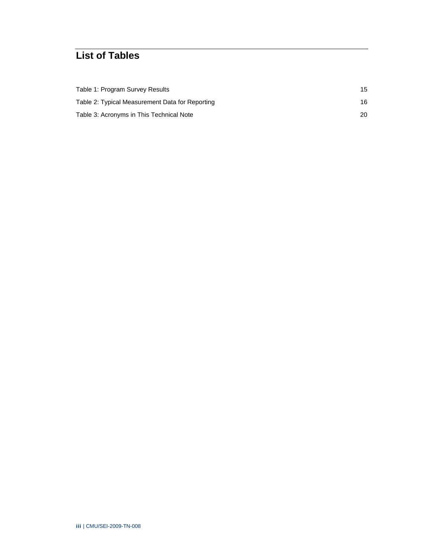# **List of Tables**

| Table 1: Program Survey Results                 | 15 |
|-------------------------------------------------|----|
| Table 2: Typical Measurement Data for Reporting | 16 |
| Table 3: Acronyms in This Technical Note        | 20 |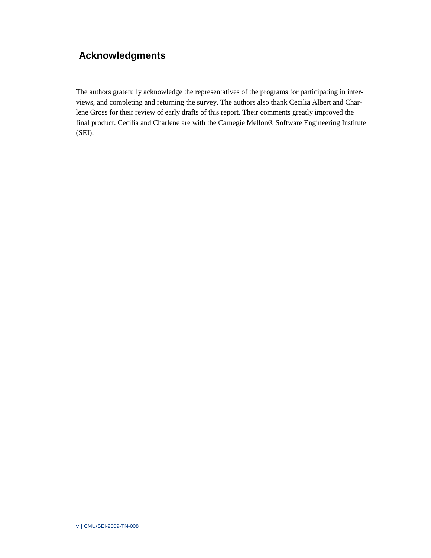# **Acknowledgments**

The authors gratefully acknowledge the representatives of the programs for participating in interviews, and completing and returning the survey. The authors also thank Cecilia Albert and Charlene Gross for their review of early drafts of this report. Their comments greatly improved the final product. Cecilia and Charlene are with the Carnegie Mellon® Software Engineering Institute (SEI).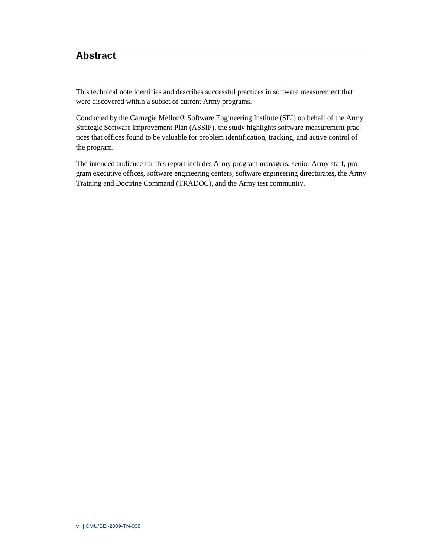# **Abstract**

This technical note identifies and describes successful practices in software measurement that were discovered within a subset of current Army programs.

Conducted by the Carnegie Mellon® Software Engineering Institute (SEI) on behalf of the Army Strategic Software Improvement Plan (ASSIP), the study highlights software measurement practices that offices found to be valuable for problem identification, tracking, and active control of the program.

The intended audience for this report includes Army program managers, senior Army staff, program executive offices, software engineering centers, software engineering directorates, the Army Training and Doctrine Command (TRADOC), and the Army test community.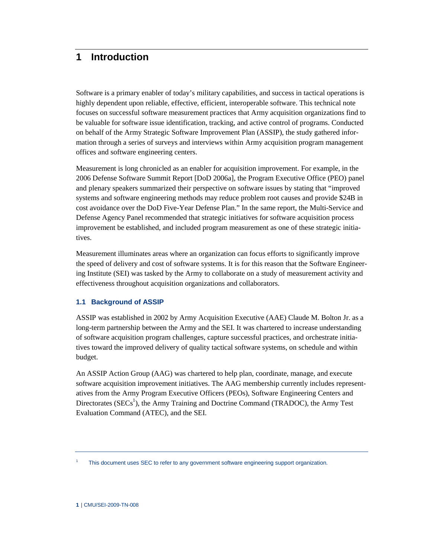### **1 Introduction**

Software is a primary enabler of today's military capabilities, and success in tactical operations is highly dependent upon reliable, effective, efficient, interoperable software. This technical note focuses on successful software measurement practices that Army acquisition organizations find to be valuable for software issue identification, tracking, and active control of programs. Conducted on behalf of the Army Strategic Software Improvement Plan (ASSIP), the study gathered information through a series of surveys and interviews within Army acquisition program management offices and software engineering centers.

Measurement is long chronicled as an enabler for acquisition improvement. For example, in the 2006 Defense Software Summit Report [DoD 2006a], the Program Executive Office (PEO) panel and plenary speakers summarized their perspective on software issues by stating that "improved systems and software engineering methods may reduce problem root causes and provide \$24B in cost avoidance over the DoD Five-Year Defense Plan." In the same report, the Multi-Service and Defense Agency Panel recommended that strategic initiatives for software acquisition process improvement be established, and included program measurement as one of these strategic initiatives.

Measurement illuminates areas where an organization can focus efforts to significantly improve the speed of delivery and cost of software systems. It is for this reason that the Software Engineering Institute (SEI) was tasked by the Army to collaborate on a study of measurement activity and effectiveness throughout acquisition organizations and collaborators.

#### **1.1 Background of ASSIP**

ASSIP was established in 2002 by Army Acquisition Executive (AAE) Claude M. Bolton Jr. as a long-term partnership between the Army and the SEI. It was chartered to increase understanding of software acquisition program challenges, capture successful practices, and orchestrate initiatives toward the improved delivery of quality tactical software systems, on schedule and within budget.

An ASSIP Action Group (AAG) was chartered to help plan, coordinate, manage, and execute software acquisition improvement initiatives. The AAG membership currently includes representatives from the Army Program Executive Officers (PEOs), Software Engineering Centers and Directorates ( $SECs<sup>1</sup>$ ), the Army Training and Doctrine Command (TRADOC), the Army Test Evaluation Command (ATEC), and the SEI.

<sup>1</sup> This document uses SEC to refer to any government software engineering support organization.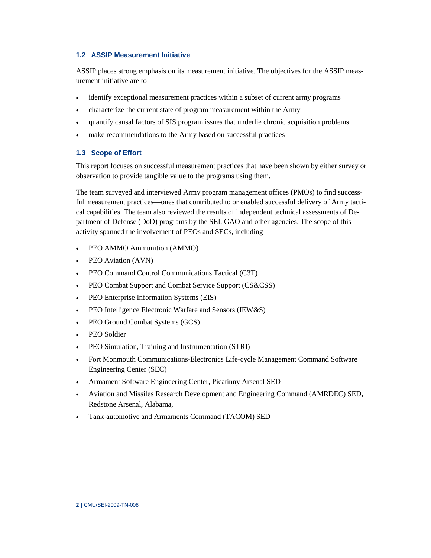#### **1.2 ASSIP Measurement Initiative**

ASSIP places strong emphasis on its measurement initiative. The objectives for the ASSIP measurement initiative are to

- identify exceptional measurement practices within a subset of current army programs
- characterize the current state of program measurement within the Army
- quantify causal factors of SIS program issues that underlie chronic acquisition problems
- make recommendations to the Army based on successful practices

#### **1.3 Scope of Effort**

This report focuses on successful measurement practices that have been shown by either survey or observation to provide tangible value to the programs using them.

The team surveyed and interviewed Army program management offices (PMOs) to find successful measurement practices—ones that contributed to or enabled successful delivery of Army tactical capabilities. The team also reviewed the results of independent technical assessments of Department of Defense (DoD) programs by the SEI, GAO and other agencies. The scope of this activity spanned the involvement of PEOs and SECs, including

- PEO AMMO Ammunition (AMMO)
- PEO Aviation (AVN)
- PEO Command Control Communications Tactical (C3T)
- PEO Combat Support and Combat Service Support (CS&CSS)
- PEO Enterprise Information Systems (EIS)
- PEO Intelligence Electronic Warfare and Sensors (IEW&S)
- PEO Ground Combat Systems (GCS)
- PEO Soldier
- PEO Simulation, Training and Instrumentation (STRI)
- Fort Monmouth Communications-Electronics Life-cycle Management Command Software Engineering Center (SEC)
- Armament Software Engineering Center, Picatinny Arsenal SED
- Aviation and Missiles Research Development and Engineering Command (AMRDEC) SED, Redstone Arsenal, Alabama,
- Tank-automotive and Armaments Command (TACOM) SED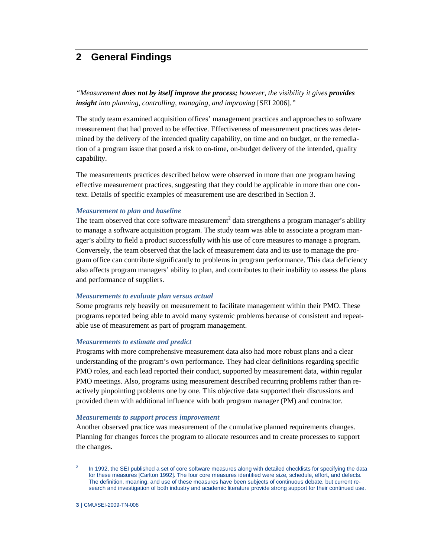### **2 General Findings**

*"Measurement does not by itself improve the process; however, the visibility it gives provides insight into planning, controlling, managing, and improving* [SEI 2006]*."* 

The study team examined acquisition offices' management practices and approaches to software measurement that had proved to be effective. Effectiveness of measurement practices was determined by the delivery of the intended quality capability, on time and on budget, or the remediation of a program issue that posed a risk to on-time, on-budget delivery of the intended, quality capability.

The measurements practices described below were observed in more than one program having effective measurement practices, suggesting that they could be applicable in more than one context. Details of specific examples of measurement use are described in Section 3.

#### *Measurement to plan and baseline*

The team observed that core software measurement<sup>2</sup> data strengthens a program manager's ability to manage a software acquisition program. The study team was able to associate a program manager's ability to field a product successfully with his use of core measures to manage a program. Conversely, the team observed that the lack of measurement data and its use to manage the program office can contribute significantly to problems in program performance. This data deficiency also affects program managers' ability to plan, and contributes to their inability to assess the plans and performance of suppliers.

#### *Measurements to evaluate plan versus actual*

Some programs rely heavily on measurement to facilitate management within their PMO. These programs reported being able to avoid many systemic problems because of consistent and repeatable use of measurement as part of program management.

#### *Measurements to estimate and predict*

Programs with more comprehensive measurement data also had more robust plans and a clear understanding of the program's own performance. They had clear definitions regarding specific PMO roles, and each lead reported their conduct, supported by measurement data, within regular PMO meetings. Also, programs using measurement described recurring problems rather than reactively pinpointing problems one by one. This objective data supported their discussions and provided them with additional influence with both program manager (PM) and contractor.

#### *Measurements to support process improvement*

Another observed practice was measurement of the cumulative planned requirements changes. Planning for changes forces the program to allocate resources and to create processes to support the changes.

<sup>2</sup> In 1992, the SEI published a set of core software measures along with detailed checklists for specifying the data for these measures [Carlton 1992]. The four core measures identified were size, schedule, effort, and defects. The definition, meaning, and use of these measures have been subjects of continuous debate, but current research and investigation of both industry and academic literature provide strong support for their continued use.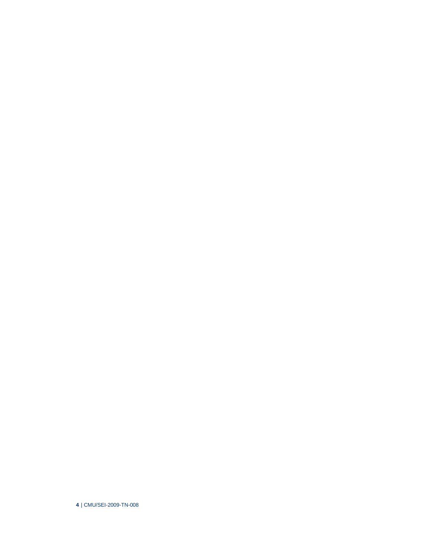| CMU/SEI-2009-TN-008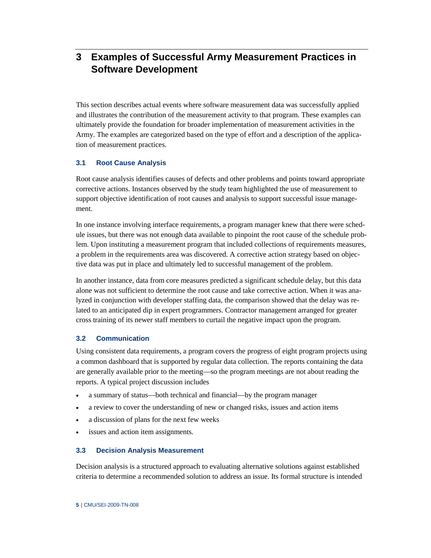# **3 Examples of Successful Army Measurement Practices in Software Development**

This section describes actual events where software measurement data was successfully applied and illustrates the contribution of the measurement activity to that program. These examples can ultimately provide the foundation for broader implementation of measurement activities in the Army. The examples are categorized based on the type of effort and a description of the application of measurement practices.

#### **3.1 Root Cause Analysis**

Root cause analysis identifies causes of defects and other problems and points toward appropriate corrective actions. Instances observed by the study team highlighted the use of measurement to support objective identification of root causes and analysis to support successful issue management.

In one instance involving interface requirements, a program manager knew that there were schedule issues, but there was not enough data available to pinpoint the root cause of the schedule problem. Upon instituting a measurement program that included collections of requirements measures, a problem in the requirements area was discovered. A corrective action strategy based on objective data was put in place and ultimately led to successful management of the problem.

In another instance, data from core measures predicted a significant schedule delay, but this data alone was not sufficient to determine the root cause and take corrective action. When it was analyzed in conjunction with developer staffing data, the comparison showed that the delay was related to an anticipated dip in expert programmers. Contractor management arranged for greater cross training of its newer staff members to curtail the negative impact upon the program.

#### **3.2 Communication**

Using consistent data requirements, a program covers the progress of eight program projects using a common dashboard that is supported by regular data collection. The reports containing the data are generally available prior to the meeting—so the program meetings are not about reading the reports. A typical project discussion includes

- a summary of status—both technical and financial—by the program manager
- a review to cover the understanding of new or changed risks, issues and action items
- a discussion of plans for the next few weeks
- issues and action item assignments.

#### **3.3 Decision Analysis Measurement**

Decision analysis is a structured approach to evaluating alternative solutions against established criteria to determine a recommended solution to address an issue. Its formal structure is intended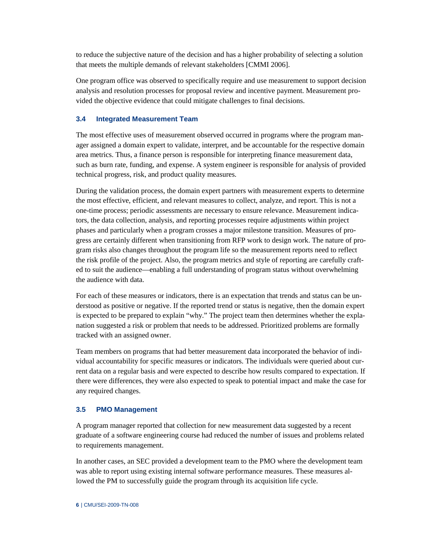to reduce the subjective nature of the decision and has a higher probability of selecting a solution that meets the multiple demands of relevant stakeholders [CMMI 2006].

One program office was observed to specifically require and use measurement to support decision analysis and resolution processes for proposal review and incentive payment. Measurement provided the objective evidence that could mitigate challenges to final decisions.

#### **3.4 Integrated Measurement Team**

The most effective uses of measurement observed occurred in programs where the program manager assigned a domain expert to validate, interpret, and be accountable for the respective domain area metrics. Thus, a finance person is responsible for interpreting finance measurement data, such as burn rate, funding, and expense. A system engineer is responsible for analysis of provided technical progress, risk, and product quality measures.

During the validation process, the domain expert partners with measurement experts to determine the most effective, efficient, and relevant measures to collect, analyze, and report. This is not a one-time process; periodic assessments are necessary to ensure relevance. Measurement indicators, the data collection, analysis, and reporting processes require adjustments within project phases and particularly when a program crosses a major milestone transition. Measures of progress are certainly different when transitioning from RFP work to design work. The nature of program risks also changes throughout the program life so the measurement reports need to reflect the risk profile of the project. Also, the program metrics and style of reporting are carefully crafted to suit the audience—enabling a full understanding of program status without overwhelming the audience with data.

For each of these measures or indicators, there is an expectation that trends and status can be understood as positive or negative. If the reported trend or status is negative, then the domain expert is expected to be prepared to explain "why." The project team then determines whether the explanation suggested a risk or problem that needs to be addressed. Prioritized problems are formally tracked with an assigned owner.

Team members on programs that had better measurement data incorporated the behavior of individual accountability for specific measures or indicators. The individuals were queried about current data on a regular basis and were expected to describe how results compared to expectation. If there were differences, they were also expected to speak to potential impact and make the case for any required changes.

#### **3.5 PMO Management**

A program manager reported that collection for new measurement data suggested by a recent graduate of a software engineering course had reduced the number of issues and problems related to requirements management.

In another cases, an SEC provided a development team to the PMO where the development team was able to report using existing internal software performance measures. These measures allowed the PM to successfully guide the program through its acquisition life cycle.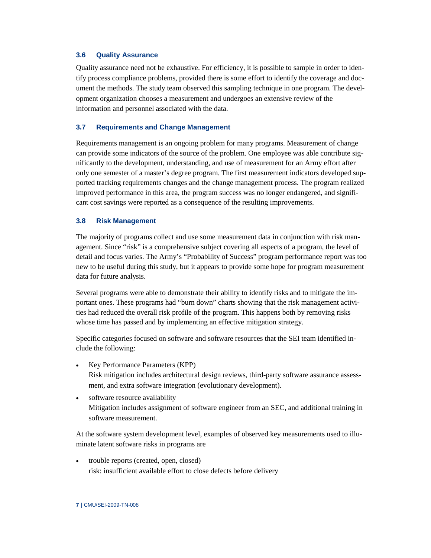#### **3.6 Quality Assurance**

Quality assurance need not be exhaustive. For efficiency, it is possible to sample in order to identify process compliance problems, provided there is some effort to identify the coverage and document the methods. The study team observed this sampling technique in one program. The development organization chooses a measurement and undergoes an extensive review of the information and personnel associated with the data.

#### **3.7 Requirements and Change Management**

Requirements management is an ongoing problem for many programs. Measurement of change can provide some indicators of the source of the problem. One employee was able contribute significantly to the development, understanding, and use of measurement for an Army effort after only one semester of a master's degree program. The first measurement indicators developed supported tracking requirements changes and the change management process. The program realized improved performance in this area, the program success was no longer endangered, and significant cost savings were reported as a consequence of the resulting improvements.

#### **3.8 Risk Management**

The majority of programs collect and use some measurement data in conjunction with risk management. Since "risk" is a comprehensive subject covering all aspects of a program, the level of detail and focus varies. The Army's "Probability of Success" program performance report was too new to be useful during this study, but it appears to provide some hope for program measurement data for future analysis.

Several programs were able to demonstrate their ability to identify risks and to mitigate the important ones. These programs had "burn down" charts showing that the risk management activities had reduced the overall risk profile of the program. This happens both by removing risks whose time has passed and by implementing an effective mitigation strategy.

Specific categories focused on software and software resources that the SEI team identified include the following:

- Key Performance Parameters (KPP) Risk mitigation includes architectural design reviews, third-party software assurance assessment, and extra software integration (evolutionary development).
- software resource availability Mitigation includes assignment of software engineer from an SEC, and additional training in software measurement.

At the software system development level, examples of observed key measurements used to illuminate latent software risks in programs are

• trouble reports (created, open, closed) risk: insufficient available effort to close defects before delivery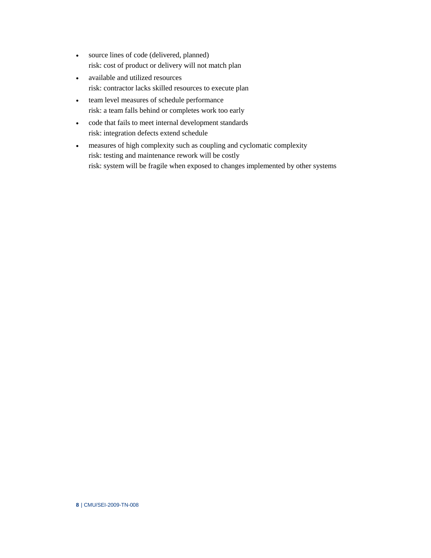- source lines of code (delivered, planned) risk: cost of product or delivery will not match plan
- available and utilized resources risk: contractor lacks skilled resources to execute plan
- team level measures of schedule performance risk: a team falls behind or completes work too early
- code that fails to meet internal development standards risk: integration defects extend schedule
- measures of high complexity such as coupling and cyclomatic complexity risk: testing and maintenance rework will be costly risk: system will be fragile when exposed to changes implemented by other systems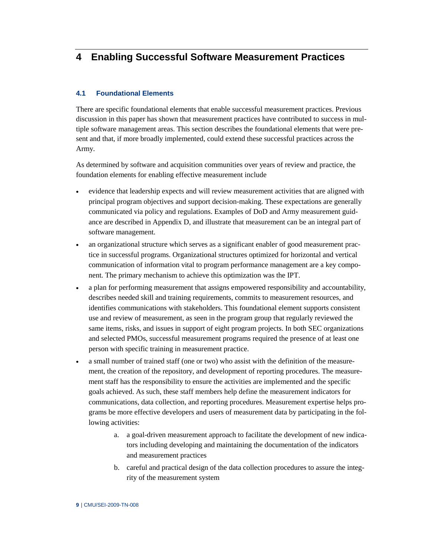# **4 Enabling Successful Software Measurement Practices**

#### **4.1 Foundational Elements**

There are specific foundational elements that enable successful measurement practices. Previous discussion in this paper has shown that measurement practices have contributed to success in multiple software management areas. This section describes the foundational elements that were present and that, if more broadly implemented, could extend these successful practices across the Army.

As determined by software and acquisition communities over years of review and practice, the foundation elements for enabling effective measurement include

- evidence that leadership expects and will review measurement activities that are aligned with principal program objectives and support decision-making. These expectations are generally communicated via policy and regulations. Examples of DoD and Army measurement guidance are described in Appendix D, and illustrate that measurement can be an integral part of software management.
- an organizational structure which serves as a significant enabler of good measurement practice in successful programs. Organizational structures optimized for horizontal and vertical communication of information vital to program performance management are a key component. The primary mechanism to achieve this optimization was the IPT.
- a plan for performing measurement that assigns empowered responsibility and accountability, describes needed skill and training requirements, commits to measurement resources, and identifies communications with stakeholders. This foundational element supports consistent use and review of measurement, as seen in the program group that regularly reviewed the same items, risks, and issues in support of eight program projects. In both SEC organizations and selected PMOs, successful measurement programs required the presence of at least one person with specific training in measurement practice.
- a small number of trained staff (one or two) who assist with the definition of the measurement, the creation of the repository, and development of reporting procedures. The measurement staff has the responsibility to ensure the activities are implemented and the specific goals achieved. As such, these staff members help define the measurement indicators for communications, data collection, and reporting procedures. Measurement expertise helps programs be more effective developers and users of measurement data by participating in the following activities:
	- a. a goal-driven measurement approach to facilitate the development of new indicators including developing and maintaining the documentation of the indicators and measurement practices
	- b. careful and practical design of the data collection procedures to assure the integrity of the measurement system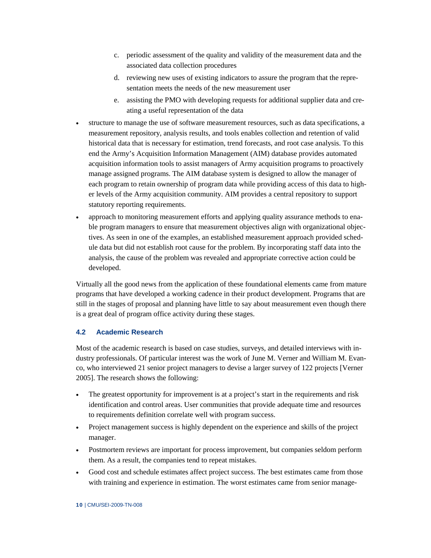- c. periodic assessment of the quality and validity of the measurement data and the associated data collection procedures
- d. reviewing new uses of existing indicators to assure the program that the representation meets the needs of the new measurement user
- e. assisting the PMO with developing requests for additional supplier data and creating a useful representation of the data
- structure to manage the use of software measurement resources, such as data specifications, a measurement repository, analysis results, and tools enables collection and retention of valid historical data that is necessary for estimation, trend forecasts, and root case analysis. To this end the Army's Acquisition Information Management (AIM) database provides automated acquisition information tools to assist managers of Army acquisition programs to proactively manage assigned programs. The AIM database system is designed to allow the manager of each program to retain ownership of program data while providing access of this data to higher levels of the Army acquisition community. AIM provides a central repository to support statutory reporting requirements.
- approach to monitoring measurement efforts and applying quality assurance methods to enable program managers to ensure that measurement objectives align with organizational objectives. As seen in one of the examples, an established measurement approach provided schedule data but did not establish root cause for the problem. By incorporating staff data into the analysis, the cause of the problem was revealed and appropriate corrective action could be developed.

Virtually all the good news from the application of these foundational elements came from mature programs that have developed a working cadence in their product development. Programs that are still in the stages of proposal and planning have little to say about measurement even though there is a great deal of program office activity during these stages.

#### **4.2 Academic Research**

Most of the academic research is based on case studies, surveys, and detailed interviews with industry professionals. Of particular interest was the work of June M. Verner and William M. Evanco, who interviewed 21 senior project managers to devise a larger survey of 122 projects [Verner 2005]. The research shows the following:

- The greatest opportunity for improvement is at a project's start in the requirements and risk identification and control areas. User communities that provide adequate time and resources to requirements definition correlate well with program success.
- Project management success is highly dependent on the experience and skills of the project manager.
- Postmortem reviews are important for process improvement, but companies seldom perform them. As a result, the companies tend to repeat mistakes.
- Good cost and schedule estimates affect project success. The best estimates came from those with training and experience in estimation. The worst estimates came from senior manage-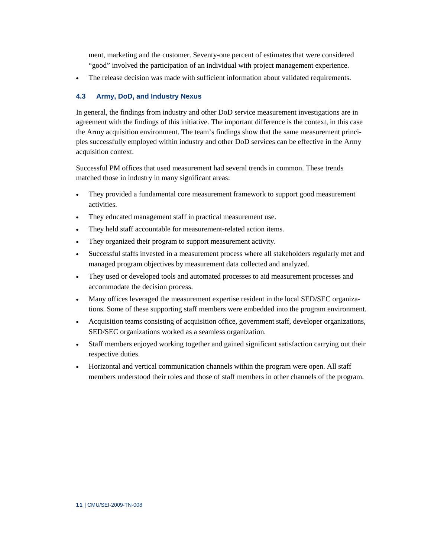ment, marketing and the customer. Seventy-one percent of estimates that were considered "good" involved the participation of an individual with project management experience.

• The release decision was made with sufficient information about validated requirements.

#### **4.3 Army, DoD, and Industry Nexus**

In general, the findings from industry and other DoD service measurement investigations are in agreement with the findings of this initiative. The important difference is the context, in this case the Army acquisition environment. The team's findings show that the same measurement principles successfully employed within industry and other DoD services can be effective in the Army acquisition context.

Successful PM offices that used measurement had several trends in common. These trends matched those in industry in many significant areas:

- They provided a fundamental core measurement framework to support good measurement activities.
- They educated management staff in practical measurement use.
- They held staff accountable for measurement-related action items.
- They organized their program to support measurement activity.
- Successful staffs invested in a measurement process where all stakeholders regularly met and managed program objectives by measurement data collected and analyzed.
- They used or developed tools and automated processes to aid measurement processes and accommodate the decision process.
- Many offices leveraged the measurement expertise resident in the local SED/SEC organizations. Some of these supporting staff members were embedded into the program environment.
- Acquisition teams consisting of acquisition office, government staff, developer organizations, SED/SEC organizations worked as a seamless organization.
- Staff members enjoyed working together and gained significant satisfaction carrying out their respective duties.
- Horizontal and vertical communication channels within the program were open. All staff members understood their roles and those of staff members in other channels of the program.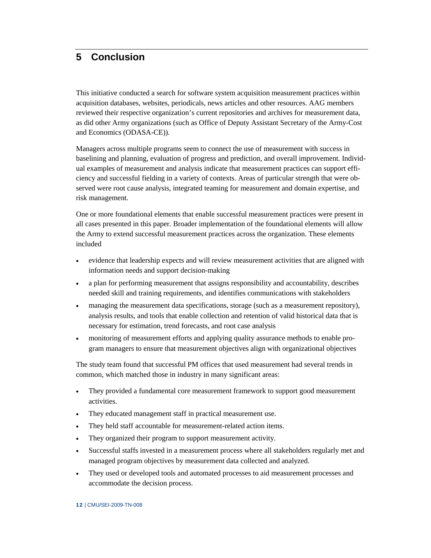# **5 Conclusion**

This initiative conducted a search for software system acquisition measurement practices within acquisition databases, websites, periodicals, news articles and other resources. AAG members reviewed their respective organization's current repositories and archives for measurement data, as did other Army organizations (such as Office of Deputy Assistant Secretary of the Army-Cost and Economics (ODASA-CE)).

Managers across multiple programs seem to connect the use of measurement with success in baselining and planning, evaluation of progress and prediction, and overall improvement. Individual examples of measurement and analysis indicate that measurement practices can support efficiency and successful fielding in a variety of contexts. Areas of particular strength that were observed were root cause analysis, integrated teaming for measurement and domain expertise, and risk management.

One or more foundational elements that enable successful measurement practices were present in all cases presented in this paper. Broader implementation of the foundational elements will allow the Army to extend successful measurement practices across the organization. These elements included

- evidence that leadership expects and will review measurement activities that are aligned with information needs and support decision-making
- a plan for performing measurement that assigns responsibility and accountability, describes needed skill and training requirements, and identifies communications with stakeholders
- managing the measurement data specifications, storage (such as a measurement repository), analysis results, and tools that enable collection and retention of valid historical data that is necessary for estimation, trend forecasts, and root case analysis
- monitoring of measurement efforts and applying quality assurance methods to enable program managers to ensure that measurement objectives align with organizational objectives

The study team found that successful PM offices that used measurement had several trends in common, which matched those in industry in many significant areas:

- They provided a fundamental core measurement framework to support good measurement activities.
- They educated management staff in practical measurement use.
- They held staff accountable for measurement-related action items.
- They organized their program to support measurement activity.
- Successful staffs invested in a measurement process where all stakeholders regularly met and managed program objectives by measurement data collected and analyzed.
- They used or developed tools and automated processes to aid measurement processes and accommodate the decision process.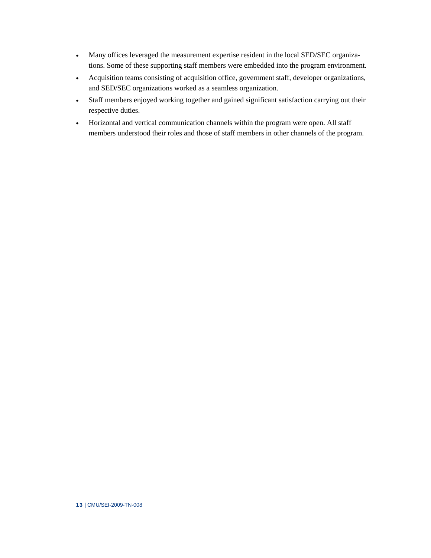- Many offices leveraged the measurement expertise resident in the local SED/SEC organizations. Some of these supporting staff members were embedded into the program environment.
- Acquisition teams consisting of acquisition office, government staff, developer organizations, and SED/SEC organizations worked as a seamless organization.
- Staff members enjoyed working together and gained significant satisfaction carrying out their respective duties.
- Horizontal and vertical communication channels within the program were open. All staff members understood their roles and those of staff members in other channels of the program.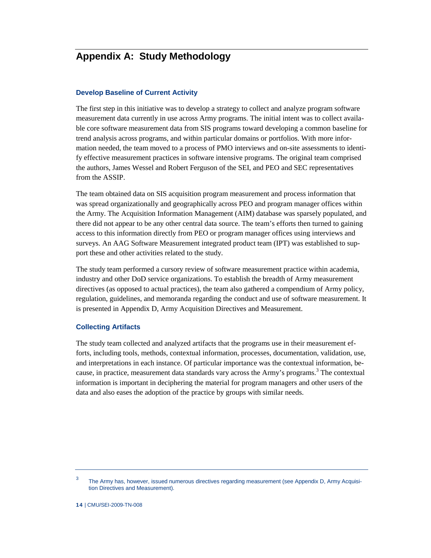# **Appendix A: Study Methodology**

#### **Develop Baseline of Current Activity**

The first step in this initiative was to develop a strategy to collect and analyze program software measurement data currently in use across Army programs. The initial intent was to collect available core software measurement data from SIS programs toward developing a common baseline for trend analysis across programs, and within particular domains or portfolios. With more information needed, the team moved to a process of PMO interviews and on-site assessments to identify effective measurement practices in software intensive programs. The original team comprised the authors, James Wessel and Robert Ferguson of the SEI, and PEO and SEC representatives from the ASSIP.

The team obtained data on SIS acquisition program measurement and process information that was spread organizationally and geographically across PEO and program manager offices within the Army. The Acquisition Information Management (AIM) database was sparsely populated, and there did not appear to be any other central data source. The team's efforts then turned to gaining access to this information directly from PEO or program manager offices using interviews and surveys. An AAG Software Measurement integrated product team (IPT) was established to support these and other activities related to the study.

The study team performed a cursory review of software measurement practice within academia, industry and other DoD service organizations. To establish the breadth of Army measurement directives (as opposed to actual practices), the team also gathered a compendium of Army policy, regulation, guidelines, and memoranda regarding the conduct and use of software measurement. It is presented in Appendix D, Army Acquisition Directives and Measurement.

#### **Collecting Artifacts**

The study team collected and analyzed artifacts that the programs use in their measurement efforts, including tools, methods, contextual information, processes, documentation, validation, use, and interpretations in each instance. Of particular importance was the contextual information, because, in practice, measurement data standards vary across the Army's programs.<sup>3</sup> The contextual information is important in deciphering the material for program managers and other users of the data and also eases the adoption of the practice by groups with similar needs.

14 | CMU/SEI-2009-TN-008

<sup>3</sup> The Army has, however, issued numerous directives regarding measurement (see Appendix D, Army Acquisition Directives and Measurement).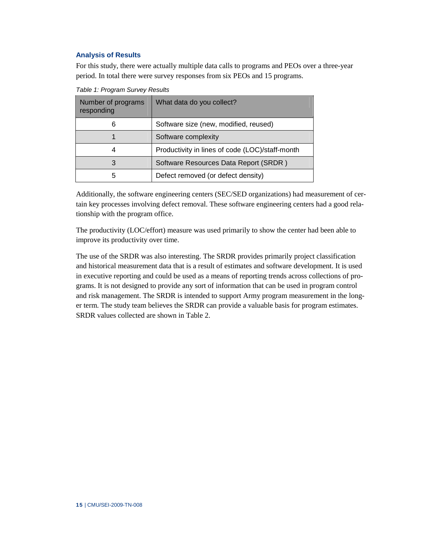#### **Analysis of Results**

For this study, there were actually multiple data calls to programs and PEOs over a three-year period. In total there were survey responses from six PEOs and 15 programs.

| Number of programs<br>responding | What data do you collect?                       |  |  |
|----------------------------------|-------------------------------------------------|--|--|
| 6                                | Software size (new, modified, reused)           |  |  |
|                                  | Software complexity                             |  |  |
| 4                                | Productivity in lines of code (LOC)/staff-month |  |  |
| 3                                | Software Resources Data Report (SRDR)           |  |  |
| 5                                | Defect removed (or defect density)              |  |  |

*Table 1: Program Survey Results* 

Additionally, the software engineering centers (SEC/SED organizations) had measurement of certain key processes involving defect removal. These software engineering centers had a good relationship with the program office.

The productivity (LOC/effort) measure was used primarily to show the center had been able to improve its productivity over time.

The use of the SRDR was also interesting. The SRDR provides primarily project classification and historical measurement data that is a result of estimates and software development. It is used in executive reporting and could be used as a means of reporting trends across collections of programs. It is not designed to provide any sort of information that can be used in program control and risk management. The SRDR is intended to support Army program measurement in the longer term. The study team believes the SRDR can provide a valuable basis for program estimates. SRDR values collected are shown in Table 2.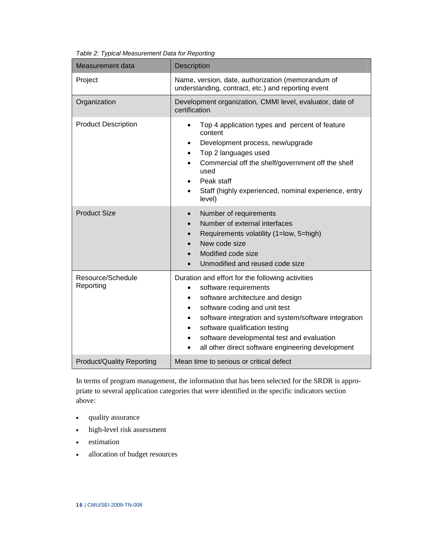| Measurement data                 | <b>Description</b>                                                                                                                                                                                                                                                                                                                                                                                                |  |  |  |
|----------------------------------|-------------------------------------------------------------------------------------------------------------------------------------------------------------------------------------------------------------------------------------------------------------------------------------------------------------------------------------------------------------------------------------------------------------------|--|--|--|
| Project                          | Name, version, date, authorization (memorandum of<br>understanding, contract, etc.) and reporting event                                                                                                                                                                                                                                                                                                           |  |  |  |
| Organization                     | Development organization, CMMI level, evaluator, date of<br>certification                                                                                                                                                                                                                                                                                                                                         |  |  |  |
| <b>Product Description</b>       | Top 4 application types and percent of feature<br>$\bullet$<br>content<br>Development process, new/upgrade<br>$\bullet$<br>Top 2 languages used<br>$\bullet$<br>Commercial off the shelf/government off the shelf<br>used<br>Peak staff<br>Staff (highly experienced, nominal experience, entry<br>level)                                                                                                         |  |  |  |
| <b>Product Size</b>              | Number of requirements<br>$\bullet$<br>Number of external interfaces<br>Requirements volatility (1=low, 5=high)<br>$\bullet$<br>New code size<br>Modified code size<br>Unmodified and reused code size                                                                                                                                                                                                            |  |  |  |
| Resource/Schedule<br>Reporting   | Duration and effort for the following activities<br>software requirements<br>$\bullet$<br>software architecture and design<br>٠<br>software coding and unit test<br>$\bullet$<br>software integration and system/software integration<br>$\bullet$<br>software qualification testing<br>$\bullet$<br>software developmental test and evaluation<br>all other direct software engineering development<br>$\bullet$ |  |  |  |
| <b>Product/Quality Reporting</b> | Mean time to serious or critical defect                                                                                                                                                                                                                                                                                                                                                                           |  |  |  |

*Table 2: Typical Measurement Data for Reporting* 

In terms of program management, the information that has been selected for the SRDR is appropriate to several application categories that were identified in the specific indicators section above:

- quality assurance
- high-level risk assessment
- estimation
- allocation of budget resources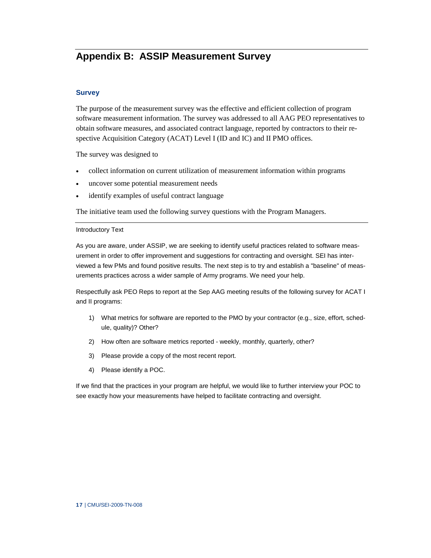# **Appendix B: ASSIP Measurement Survey**

#### **Survey**

The purpose of the measurement survey was the effective and efficient collection of program software measurement information. The survey was addressed to all AAG PEO representatives to obtain software measures, and associated contract language, reported by contractors to their respective Acquisition Category (ACAT) Level I (ID and IC) and II PMO offices.

The survey was designed to

- collect information on current utilization of measurement information within programs
- uncover some potential measurement needs
- identify examples of useful contract language

The initiative team used the following survey questions with the Program Managers.

#### Introductory Text

As you are aware, under ASSIP, we are seeking to identify useful practices related to software measurement in order to offer improvement and suggestions for contracting and oversight. SEI has interviewed a few PMs and found positive results. The next step is to try and establish a "baseline" of measurements practices across a wider sample of Army programs. We need your help.

Respectfully ask PEO Reps to report at the Sep AAG meeting results of the following survey for ACAT I and II programs:

- 1) What metrics for software are reported to the PMO by your contractor (e.g., size, effort, schedule, quality)? Other?
- 2) How often are software metrics reported weekly, monthly, quarterly, other?
- 3) Please provide a copy of the most recent report.
- 4) Please identify a POC.

If we find that the practices in your program are helpful, we would like to further interview your POC to see exactly how your measurements have helped to facilitate contracting and oversight.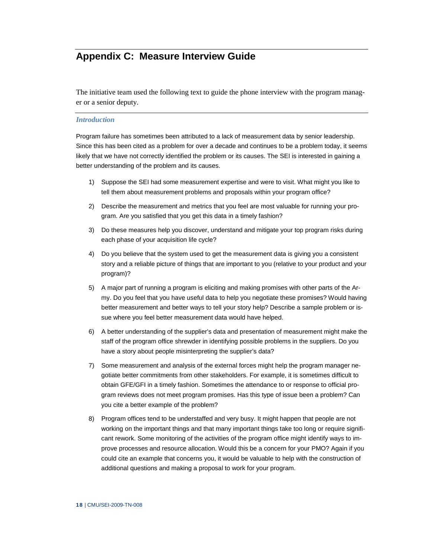### **Appendix C: Measure Interview Guide**

The initiative team used the following text to guide the phone interview with the program manager or a senior deputy.

#### *Introduction*

Program failure has sometimes been attributed to a lack of measurement data by senior leadership. Since this has been cited as a problem for over a decade and continues to be a problem today, it seems likely that we have not correctly identified the problem or its causes. The SEI is interested in gaining a better understanding of the problem and its causes.

- 1) Suppose the SEI had some measurement expertise and were to visit. What might you like to tell them about measurement problems and proposals within your program office?
- 2) Describe the measurement and metrics that you feel are most valuable for running your program. Are you satisfied that you get this data in a timely fashion?
- 3) Do these measures help you discover, understand and mitigate your top program risks during each phase of your acquisition life cycle?
- 4) Do you believe that the system used to get the measurement data is giving you a consistent story and a reliable picture of things that are important to you (relative to your product and your program)?
- 5) A major part of running a program is eliciting and making promises with other parts of the Army. Do you feel that you have useful data to help you negotiate these promises? Would having better measurement and better ways to tell your story help? Describe a sample problem or issue where you feel better measurement data would have helped.
- 6) A better understanding of the supplier's data and presentation of measurement might make the staff of the program office shrewder in identifying possible problems in the suppliers. Do you have a story about people misinterpreting the supplier's data?
- 7) Some measurement and analysis of the external forces might help the program manager negotiate better commitments from other stakeholders. For example, it is sometimes difficult to obtain GFE/GFI in a timely fashion. Sometimes the attendance to or response to official program reviews does not meet program promises. Has this type of issue been a problem? Can you cite a better example of the problem?
- 8) Program offices tend to be understaffed and very busy. It might happen that people are not working on the important things and that many important things take too long or require significant rework. Some monitoring of the activities of the program office might identify ways to improve processes and resource allocation. Would this be a concern for your PMO? Again if you could cite an example that concerns you, it would be valuable to help with the construction of additional questions and making a proposal to work for your program.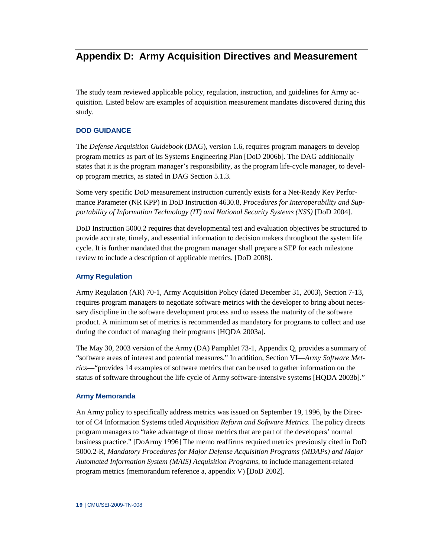# **Appendix D: Army Acquisition Directives and Measurement**

The study team reviewed applicable policy, regulation, instruction, and guidelines for Army acquisition. Listed below are examples of acquisition measurement mandates discovered during this study.

#### **DOD GUIDANCE**

The *Defense Acquisition Guidebook* (DAG), version 1.6, requires program managers to develop program metrics as part of its Systems Engineering Plan [DoD 2006b]. The DAG additionally states that it is the program manager's responsibility, as the program life-cycle manager, to develop program metrics, as stated in DAG Section 5.1.3.

Some very specific DoD measurement instruction currently exists for a Net-Ready Key Performance Parameter (NR KPP) in DoD Instruction 4630.8, *Procedures for Interoperability and Supportability of Information Technology (IT) and National Security Systems (NSS) [DoD 2004].* 

DoD Instruction 5000.2 requires that developmental test and evaluation objectives be structured to provide accurate, timely, and essential information to decision makers throughout the system life cycle. It is further mandated that the program manager shall prepare a SEP for each milestone review to include a description of applicable metrics. [DoD 2008].

#### **Army Regulation**

Army Regulation (AR) 70-1, Army Acquisition Policy (dated December 31, 2003), Section 7-13, requires program managers to negotiate software metrics with the developer to bring about necessary discipline in the software development process and to assess the maturity of the software product. A minimum set of metrics is recommended as mandatory for programs to collect and use during the conduct of managing their programs [HQDA 2003a].

The May 30, 2003 version of the Army (DA) Pamphlet 73-1, Appendix Q, provides a summary of "software areas of interest and potential measures." In addition, Section VI—*Army Software Metrics*—"provides 14 examples of software metrics that can be used to gather information on the status of software throughout the life cycle of Army software-intensive systems [HQDA 2003b]."

#### **Army Memoranda**

An Army policy to specifically address metrics was issued on September 19, 1996, by the Director of C4 Information Systems titled *Acquisition Reform and Software Metrics*. The policy directs program managers to "take advantage of those metrics that are part of the developers' normal business practice." [DoArmy 1996] The memo reaffirms required metrics previously cited in DoD 5000.2-R, *Mandatory Procedures for Major Defense Acquisition Programs (MDAPs) and Major Automated Information System (MAIS) Acquisition Programs*, to include management-related program metrics (memorandum reference a, appendix V) [DoD 2002].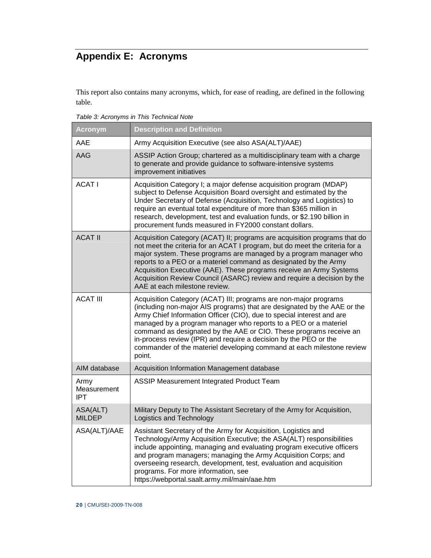# **Appendix E: Acronyms**

This report also contains many acronyms, which, for ease of reading, are defined in the following table.

*Table 3: Acronyms in This Technical Note* 

| <b>Acronym</b>                    | <b>Description and Definition</b>                                                                                                                                                                                                                                                                                                                                                                                                                                                                                     |  |  |  |  |
|-----------------------------------|-----------------------------------------------------------------------------------------------------------------------------------------------------------------------------------------------------------------------------------------------------------------------------------------------------------------------------------------------------------------------------------------------------------------------------------------------------------------------------------------------------------------------|--|--|--|--|
| AAE                               | Army Acquisition Executive (see also ASA(ALT)/AAE)                                                                                                                                                                                                                                                                                                                                                                                                                                                                    |  |  |  |  |
| <b>AAG</b>                        | ASSIP Action Group; chartered as a multidisciplinary team with a charge<br>to generate and provide guidance to software-intensive systems<br>improvement initiatives                                                                                                                                                                                                                                                                                                                                                  |  |  |  |  |
| <b>ACAT I</b>                     | Acquisition Category I; a major defense acquisition program (MDAP)<br>subject to Defense Acquisition Board oversight and estimated by the<br>Under Secretary of Defense (Acquisition, Technology and Logistics) to<br>require an eventual total expenditure of more than \$365 million in<br>research, development, test and evaluation funds, or \$2.190 billion in<br>procurement funds measured in FY2000 constant dollars.                                                                                        |  |  |  |  |
| <b>ACAT II</b>                    | Acquisition Category (ACAT) II; programs are acquisition programs that do<br>not meet the criteria for an ACAT I program, but do meet the criteria for a<br>major system. These programs are managed by a program manager who<br>reports to a PEO or a materiel command as designated by the Army<br>Acquisition Executive (AAE). These programs receive an Army Systems<br>Acquisition Review Council (ASARC) review and require a decision by the<br>AAE at each milestone review.                                  |  |  |  |  |
| <b>ACAT III</b>                   | Acquisition Category (ACAT) III; programs are non-major programs<br>(including non-major AIS programs) that are designated by the AAE or the<br>Army Chief Information Officer (CIO), due to special interest and are<br>managed by a program manager who reports to a PEO or a materiel<br>command as designated by the AAE or CIO. These programs receive an<br>in-process review (IPR) and require a decision by the PEO or the<br>commander of the materiel developing command at each milestone review<br>point. |  |  |  |  |
| AIM database                      | Acquisition Information Management database                                                                                                                                                                                                                                                                                                                                                                                                                                                                           |  |  |  |  |
| Army<br>Measurement<br><b>IPT</b> | ASSIP Measurement Integrated Product Team                                                                                                                                                                                                                                                                                                                                                                                                                                                                             |  |  |  |  |
| ASA(ALT)<br><b>MILDEP</b>         | Military Deputy to The Assistant Secretary of the Army for Acquisition,<br>Logistics and Technology                                                                                                                                                                                                                                                                                                                                                                                                                   |  |  |  |  |
| ASA(ALT)/AAE                      | Assistant Secretary of the Army for Acquisition, Logistics and<br>Technology/Army Acquisition Executive; the ASA(ALT) responsibilities<br>include appointing, managing and evaluating program executive officers<br>and program managers; managing the Army Acquisition Corps; and<br>overseeing research, development, test, evaluation and acquisition<br>programs. For more information, see<br>https://webportal.saalt.army.mil/main/aae.htm                                                                      |  |  |  |  |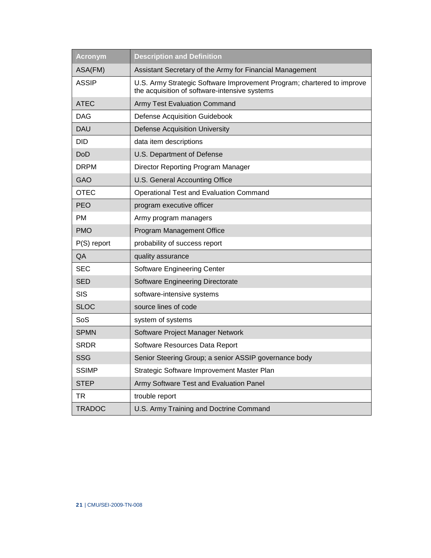| <b>Acronym</b> | <b>Description and Definition</b>                                                                                       |  |  |  |
|----------------|-------------------------------------------------------------------------------------------------------------------------|--|--|--|
| ASA(FM)        | Assistant Secretary of the Army for Financial Management                                                                |  |  |  |
| ASSIP          | U.S. Army Strategic Software Improvement Program; chartered to improve<br>the acquisition of software-intensive systems |  |  |  |
| <b>ATEC</b>    | <b>Army Test Evaluation Command</b>                                                                                     |  |  |  |
| DAG            | <b>Defense Acquisition Guidebook</b>                                                                                    |  |  |  |
| DAU            | <b>Defense Acquisition University</b>                                                                                   |  |  |  |
| DID            | data item descriptions                                                                                                  |  |  |  |
| DoD            | U.S. Department of Defense                                                                                              |  |  |  |
| DRPM           | Director Reporting Program Manager                                                                                      |  |  |  |
| GAO            | U.S. General Accounting Office                                                                                          |  |  |  |
| OTEC           | Operational Test and Evaluation Command                                                                                 |  |  |  |
| PEO            | program executive officer                                                                                               |  |  |  |
| PM             | Army program managers                                                                                                   |  |  |  |
| <b>PMO</b>     | Program Management Office                                                                                               |  |  |  |
| P(S) report    | probability of success report                                                                                           |  |  |  |
| QA             | quality assurance                                                                                                       |  |  |  |
| SEC            | Software Engineering Center                                                                                             |  |  |  |
| SED            | Software Engineering Directorate                                                                                        |  |  |  |
| SIS            | software-intensive systems                                                                                              |  |  |  |
| SLOC           | source lines of code                                                                                                    |  |  |  |
| SoS            | system of systems                                                                                                       |  |  |  |
| <b>SPMN</b>    | Software Project Manager Network                                                                                        |  |  |  |
| SRDR           | Software Resources Data Report                                                                                          |  |  |  |
| SSG            | Senior Steering Group; a senior ASSIP governance body                                                                   |  |  |  |
| SSIMP          | Strategic Software Improvement Master Plan                                                                              |  |  |  |
| STEP           | Army Software Test and Evaluation Panel                                                                                 |  |  |  |
| TR             | trouble report                                                                                                          |  |  |  |
| <b>TRADOC</b>  | U.S. Army Training and Doctrine Command                                                                                 |  |  |  |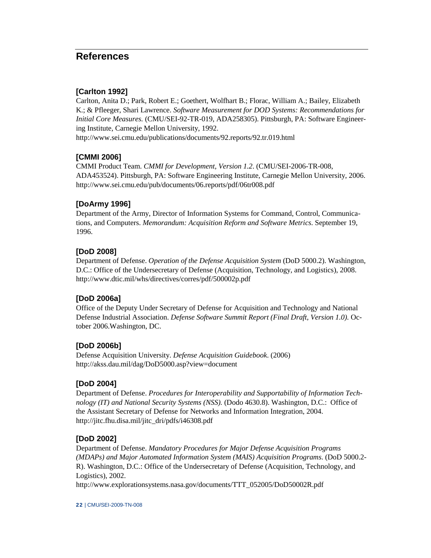### **References**

#### **[Carlton 1992]**

Carlton, Anita D.; Park, Robert E.; Goethert, Wolfhart B.; Florac, William A.; Bailey, Elizabeth K.; & Pfleeger, Shari Lawrence. *Software Measurement for DOD Systems: Recommendations for Initial Core Measures.* (CMU/SEI-92-TR-019, ADA258305). Pittsburgh, PA: Software Engineering Institute, Carnegie Mellon University, 1992.

<http://www.sei.cmu.edu/publications/documents/92.reports/92.tr.019.html>

#### **[CMMI 2006]**

CMMI Product Team. *CMMI for Development, Version 1.2*. (CMU/SEI-2006-TR-008, ADA453524). Pittsburgh, PA: Software Engineering Institute, Carnegie Mellon University, 2006. <http://www.sei.cmu.edu/pub/documents/06.reports/pdf/06tr008.pdf>

#### **[DoArmy 1996]**

Department of the Army, Director of Information Systems for Command, Control, Communications, and Computers. *Memorandum: Acquisition Reform and Software Metrics*. September 19, 1996.

#### **[DoD 2008]**

Department of Defense. *Operation of the Defense Acquisition System* (DoD 5000.2). Washington, D.C.: Office of the Undersecretary of Defense (Acquisition, Technology, and Logistics), 2008. <http://www.dtic.mil/whs/directives/corres/pdf/500002p.pdf>

#### **[DoD 2006a]**

Office of the Deputy Under Secretary of Defense for Acquisition and Technology and National Defense Industrial Association. *Defense Software Summit Report (Final Draft, Version 1.0).* October 2006.Washington, DC.

#### **[DoD 2006b]**

Defense Acquisition University. *Defense Acquisition Guidebook*. (2006) <http://akss.dau.mil/dag/DoD5000.asp?view=document>

#### **[DoD 2004]**

Department of Defense. *Procedures for Interoperability and Supportability of Information Technology (IT) and National Security Systems (NSS).* (Dodo 4630.8). Washington, D.C.: Office of the Assistant Secretary of Defense for Networks and Information Integration, 2004. [http://jitc.fhu.disa.mil/jitc\\_dri/pdfs/i46308.pdf](http://jitc.fhu.disa.mil/jitc_dri/pdfs/i46308.pdf) 

#### **[DoD 2002]**

Department of Defense. *Mandatory Procedures for Major Defense Acquisition Programs (MDAPs) and Major Automated Information System (MAIS) Acquisition Programs*. (DoD 5000.2- R). Washington, D.C.: Office of the Undersecretary of Defense (Acquisition, Technology, and Logistics), 2002.

[http://www.explorationsystems.nasa.gov/documents/TTT\\_052005/DoD50002R.pdf](http://www.explorationsystems.nasa.gov/documents/TTT_052005/DoD50002R.pdf)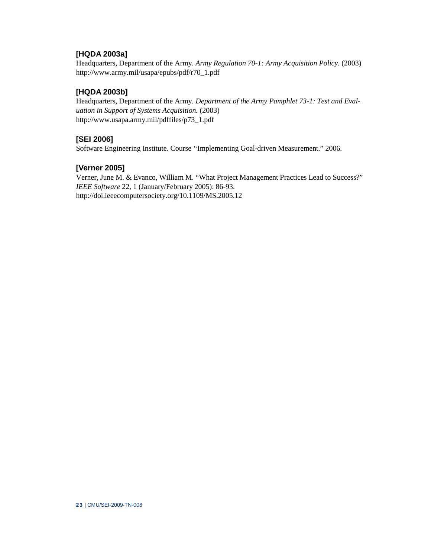#### **[HQDA 2003a]**

Headquarters, Department of the Army. *Army Regulation 70-1: Army Acquisition Policy*. (2003) [http://www.army.mil/usapa/epubs/pdf/r70\\_1.pdf](http://www.army.mil/usapa/epubs/pdf/r70_1.pdf) 

#### **[HQDA 2003b]**

Headquarters, Department of the Army. *Department of the Army Pamphlet 73-1: Test and Evaluation in Support of Systems Acquisition.* (2003) [http://www.usapa.army.mil/pdffiles/p73\\_1.pdf](http://www.usapa.army.mil/pdffiles/p73_1.pdf) 

#### **[SEI 2006]**

Software Engineering Institute*.* Course *"*Implementing Goal-driven Measurement." 2006.

#### **[Verner 2005]**

Verner, June M. & Evanco, William M. "What Project Management Practices Lead to Success?" *IEEE Software* 22, 1 (January/February 2005): 86-93. <http://doi.ieeecomputersociety.org/10.1109/MS.2005.12>